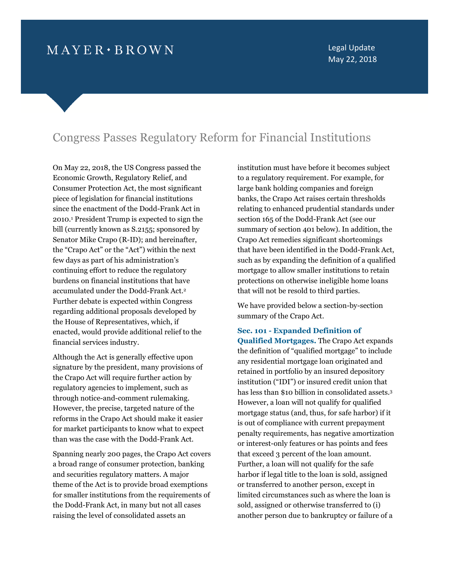# $M$  A Y E R  $\cdot$  B R O W N

Legal Update May 22, 2018

# Congress Passes Regulatory Reform for Financial Institutions

On May 22, 2018, the US Congress passed the Economic Growth, Regulatory Relief, and Consumer Protection Act, the most significant piece of legislation for financial institutions since the enactment of the Dodd-Frank Act in 2010.[1](#page-11-0) President Trump is expected to sign the bill (currently known as S.2155; sponsored by Senator Mike Crapo (R-ID); and hereinafter, the "Crapo Act" or the "Act") within the next few days as part of his administration's continuing effort to reduce the regulatory burdens on financial institutions that have accumulated under the Dodd-Frank Act.[2](#page-11-1) Further debate is expected within Congress regarding additional proposals developed by the House of Representatives, which, if enacted, would provide additional relief to the financial services industry.

Although the Act is generally effective upon signature by the president, many provisions of the Crapo Act will require further action by regulatory agencies to implement, such as through notice-and-comment rulemaking. However, the precise, targeted nature of the reforms in the Crapo Act should make it easier for market participants to know what to expect than was the case with the Dodd-Frank Act.

Spanning nearly 200 pages, the Crapo Act covers a broad range of consumer protection, banking and securities regulatory matters. A major theme of the Act is to provide broad exemptions for smaller institutions from the requirements of the Dodd-Frank Act, in many but not all cases raising the level of consolidated assets an

institution must have before it becomes subject to a regulatory requirement. For example, for large bank holding companies and foreign banks, the Crapo Act raises certain thresholds relating to enhanced prudential standards under section 165 of the Dodd-Frank Act (see our summary of section 401 below). In addition, the Crapo Act remedies significant shortcomings that have been identified in the Dodd-Frank Act, such as by expanding the definition of a qualified mortgage to allow smaller institutions to retain protections on otherwise ineligible home loans that will not be resold to third parties.

We have provided below a section-by-section summary of the Crapo Act.

# **Sec. 101 - Expanded Definition of**

**Qualified Mortgages.** The Crapo Act expands the definition of "qualified mortgage" to include any residential mortgage loan originated and retained in portfolio by an insured depository institution ("IDI") or insured credit union that has less than \$10 billion in consolidated assets.[3](#page-11-2) However, a loan will not qualify for qualified mortgage status (and, thus, for safe harbor) if it is out of compliance with current prepayment penalty requirements, has negative amortization or interest-only features or has points and fees that exceed 3 percent of the loan amount. Further, a loan will not qualify for the safe harbor if legal title to the loan is sold, assigned or transferred to another person, except in limited circumstances such as where the loan is sold, assigned or otherwise transferred to (i) another person due to bankruptcy or failure of a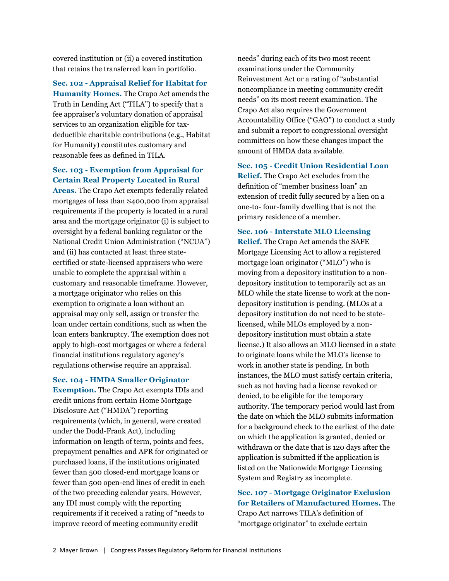covered institution or (ii) a covered institution that retains the transferred loan in portfolio.

**Sec. 102 - Appraisal Relief for Habitat for Humanity Homes.** The Crapo Act amends the Truth in Lending Act ("TILA") to specify that a fee appraiser's voluntary donation of appraisal services to an organization eligible for taxdeductible charitable contributions (e.g., Habitat for Humanity) constitutes customary and reasonable fees as defined in TILA.

# **Sec. 103 - Exemption from Appraisal for Certain Real Property Located in Rural**

**Areas.** The Crapo Act exempts federally related mortgages of less than \$400,000 from appraisal requirements if the property is located in a rural area and the mortgage originator (i) is subject to oversight by a federal banking regulator or the National Credit Union Administration ("NCUA") and (ii) has contacted at least three statecertified or state-licensed appraisers who were unable to complete the appraisal within a customary and reasonable timeframe. However, a mortgage originator who relies on this exemption to originate a loan without an appraisal may only sell, assign or transfer the loan under certain conditions, such as when the loan enters bankruptcy. The exemption does not apply to high-cost mortgages or where a federal financial institutions regulatory agency's regulations otherwise require an appraisal.

**Sec. 104 - HMDA Smaller Originator**

**Exemption.** The Crapo Act exempts IDIs and credit unions from certain Home Mortgage Disclosure Act ("HMDA") reporting requirements (which, in general, were created under the Dodd-Frank Act), including information on length of term, points and fees, prepayment penalties and APR for originated or purchased loans, if the institutions originated fewer than 500 closed-end mortgage loans or fewer than 500 open-end lines of credit in each of the two preceding calendar years. However, any IDI must comply with the reporting requirements if it received a rating of "needs to improve record of meeting community credit

needs" during each of its two most recent examinations under the Community Reinvestment Act or a rating of "substantial noncompliance in meeting community credit needs" on its most recent examination. The Crapo Act also requires the Government Accountability Office ("GAO") to conduct a study and submit a report to congressional oversight committees on how these changes impact the amount of HMDA data available.

**Sec. 105 - Credit Union Residential Loan Relief.** The Crapo Act excludes from the definition of "member business loan" an extension of credit fully secured by a lien on a one-to- four-family dwelling that is not the primary residence of a member.

**Sec. 106 - Interstate MLO Licensing Relief.** The Crapo Act amends the SAFE Mortgage Licensing Act to allow a registered mortgage loan originator ("MLO") who is moving from a depository institution to a nondepository institution to temporarily act as an MLO while the state license to work at the nondepository institution is pending. (MLOs at a depository institution do not need to be statelicensed, while MLOs employed by a nondepository institution must obtain a state license.) It also allows an MLO licensed in a state to originate loans while the MLO's license to work in another state is pending. In both instances, the MLO must satisfy certain criteria, such as not having had a license revoked or denied, to be eligible for the temporary authority. The temporary period would last from the date on which the MLO submits information for a background check to the earliest of the date on which the application is granted, denied or withdrawn or the date that is 120 days after the application is submitted if the application is listed on the Nationwide Mortgage Licensing System and Registry as incomplete.

**Sec. 107 - Mortgage Originator Exclusion for Retailers of Manufactured Homes.** The Crapo Act narrows TILA's definition of "mortgage originator" to exclude certain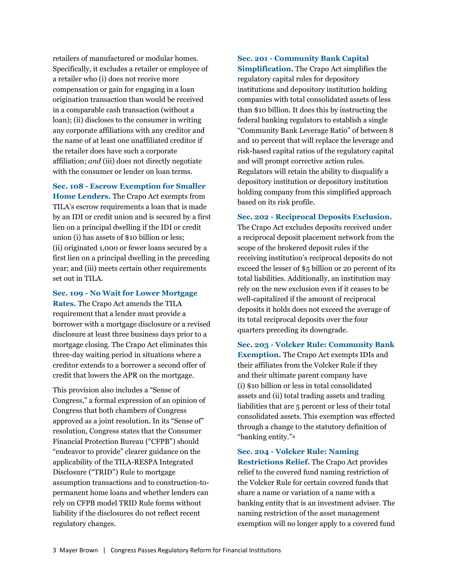retailers of manufactured or modular homes. Specifically, it excludes a retailer or employee of a retailer who (i) does not receive more compensation or gain for engaging in a loan origination transaction than would be received in a comparable cash transaction (without a loan); (ii) discloses to the consumer in writing any corporate affiliations with any creditor and the name of at least one unaffiliated creditor if the retailer does have such a corporate affiliation; *and* (iii) does not directly negotiate with the consumer or lender on loan terms.

**Sec. 108 - Escrow Exemption for Smaller Home Lenders.** The Crapo Act exempts from TILA's escrow requirements a loan that is made by an IDI or credit union and is secured by a first lien on a principal dwelling if the IDI or credit union (i) has assets of \$10 billion or less; (ii) originated 1,000 or fewer loans secured by a first lien on a principal dwelling in the preceding year; and (iii) meets certain other requirements set out in TILA.

**Sec. 109 - No Wait for Lower Mortgage**

**Rates.** The Crapo Act amends the TILA requirement that a lender must provide a borrower with a mortgage disclosure or a revised disclosure at least three business days prior to a mortgage closing. The Crapo Act eliminates this three-day waiting period in situations where a creditor extends to a borrower a second offer of credit that lowers the APR on the mortgage.

This provision also includes a "Sense of Congress," a formal expression of an opinion of Congress that both chambers of Congress approved as a joint resolution. In its "Sense of" resolution, Congress states that the Consumer Financial Protection Bureau ("CFPB") should "endeavor to provide" clearer guidance on the applicability of the TILA-RESPA Integrated Disclosure ("TRID") Rule to mortgage assumption transactions and to construction-topermanent home loans and whether lenders can rely on CFPB model TRID Rule forms without liability if the disclosures do not reflect recent regulatory changes.

**Sec. 201 - Community Bank Capital Simplification.** The Crapo Act simplifies the regulatory capital rules for depository institutions and depository institution holding companies with total consolidated assets of less than \$10 billion. It does this by instructing the federal banking regulators to establish a single "Community Bank Leverage Ratio" of between 8 and 10 percent that will replace the leverage and risk-based capital ratios of the regulatory capital and will prompt corrective action rules. Regulators will retain the ability to disqualify a depository institution or depository institution holding company from this simplified approach based on its risk profile.

**Sec. 202 - Reciprocal Deposits Exclusion.**

The Crapo Act excludes deposits received under a reciprocal deposit placement network from the scope of the brokered deposit rules if the receiving institution's reciprocal deposits do not exceed the lesser of \$5 billion or 20 percent of its total liabilities. Additionally, an institution may rely on the new exclusion even if it ceases to be well-capitalized if the amount of reciprocal deposits it holds does not exceed the average of its total reciprocal deposits over the four quarters preceding its downgrade.

**Sec. 203 - Volcker Rule: Community Bank Exemption.** The Crapo Act exempts IDIs and their affiliates from the Volcker Rule if they and their ultimate parent company have (i) \$10 billion or less in total consolidated assets and (ii) total trading assets and trading liabilities that are 5 percent or less of their total consolidated assets. This exemption was effected through a change to the statutory definition of "banking entity."[4](#page-11-3)

**Sec. 204 - Volcker Rule: Naming Restrictions Relief.** The Crapo Act provides relief to the covered fund naming restriction of the Volcker Rule for certain covered funds that share a name or variation of a name with a banking entity that is an investment adviser. The naming restriction of the asset management exemption will no longer apply to a covered fund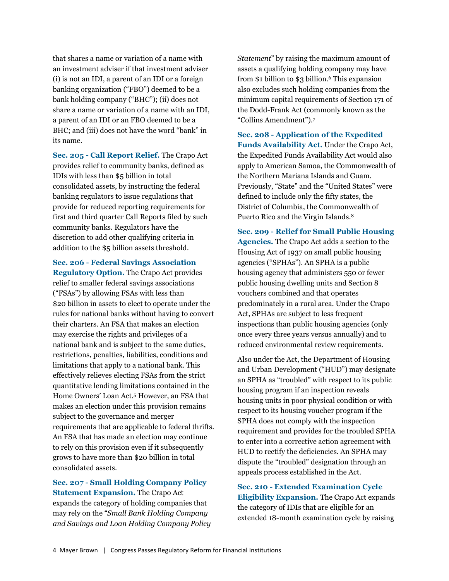that shares a name or variation of a name with an investment adviser if that investment adviser (i) is not an IDI, a parent of an IDI or a foreign banking organization ("FBO") deemed to be a bank holding company ("BHC"); (ii) does not share a name or variation of a name with an IDI, a parent of an IDI or an FBO deemed to be a BHC; and (iii) does not have the word "bank" in its name.

**Sec. 205 - Call Report Relief.** The Crapo Act provides relief to community banks, defined as IDIs with less than \$5 billion in total consolidated assets, by instructing the federal banking regulators to issue regulations that provide for reduced reporting requirements for first and third quarter Call Reports filed by such community banks. Regulators have the discretion to add other qualifying criteria in addition to the \$5 billion assets threshold.

**Sec. 206 - Federal Savings Association Regulatory Option.** The Crapo Act provides relief to smaller federal savings associations ("FSAs") by allowing FSAs with less than \$20 billion in assets to elect to operate under the rules for national banks without having to convert their charters. An FSA that makes an election may exercise the rights and privileges of a national bank and is subject to the same duties, restrictions, penalties, liabilities, conditions and limitations that apply to a national bank. This effectively relieves electing FSAs from the strict quantitative lending limitations contained in the Home Owners' Loan Act.[5](#page-11-4) However, an FSA that makes an election under this provision remains subject to the governance and merger requirements that are applicable to federal thrifts. An FSA that has made an election may continue to rely on this provision even if it subsequently grows to have more than \$20 billion in total consolidated assets.

## **Sec. 207 - Small Holding Company Policy Statement Expansion.** The Crapo Act

expands the category of holding companies that may rely on the "*Small Bank Holding Company and Savings and Loan Holding Company Policy* *Statement*" by raising the maximum amount of assets a qualifying holding company may have from \$1 billion to \$3 billion.[6](#page-11-5) This expansion also excludes such holding companies from the minimum capital requirements of Section 171 of the Dodd-Frank Act (commonly known as the "Collins Amendment").[7](#page-11-6)

**Sec. 208 - Application of the Expedited Funds Availability Act.** Under the Crapo Act, the Expedited Funds Availability Act would also apply to American Samoa, the Commonwealth of the Northern Mariana Islands and Guam. Previously, "State" and the "United States" were defined to include only the fifty states, the District of Columbia, the Commonwealth of Puerto Rico and the Virgin Islands.[8](#page-11-7)

**Sec. 209 - Relief for Small Public Housing Agencies.** The Crapo Act adds a section to the Housing Act of 1937 on small public housing agencies ("SPHAs"). An SPHA is a public housing agency that administers 550 or fewer public housing dwelling units and Section 8 vouchers combined and that operates predominately in a rural area. Under the Crapo Act, SPHAs are subject to less frequent inspections than public housing agencies (only once every three years versus annually) and to reduced environmental review requirements.

Also under the Act, the Department of Housing and Urban Development ("HUD") may designate an SPHA as "troubled" with respect to its public housing program if an inspection reveals housing units in poor physical condition or with respect to its housing voucher program if the SPHA does not comply with the inspection requirement and provides for the troubled SPHA to enter into a corrective action agreement with HUD to rectify the deficiencies. An SPHA may dispute the "troubled" designation through an appeals process established in the Act.

**Sec. 210 - Extended Examination Cycle Eligibility Expansion.** The Crapo Act expands the category of IDIs that are eligible for an extended 18-month examination cycle by raising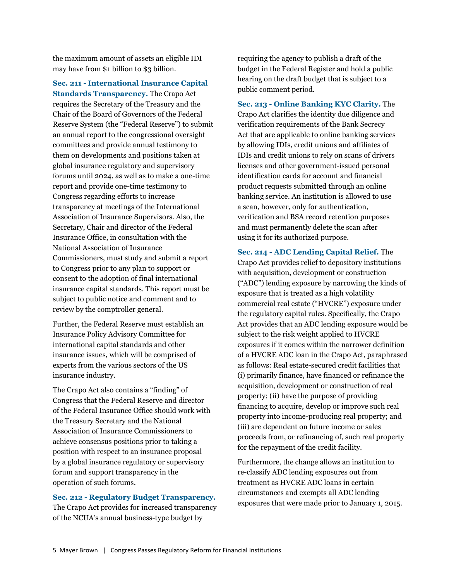the maximum amount of assets an eligible IDI may have from \$1 billion to \$3 billion.

**Sec. 211 - International Insurance Capital Standards Transparency.** The Crapo Act requires the Secretary of the Treasury and the Chair of the Board of Governors of the Federal Reserve System (the "Federal Reserve") to submit an annual report to the congressional oversight committees and provide annual testimony to them on developments and positions taken at global insurance regulatory and supervisory forums until 2024, as well as to make a one-time report and provide one-time testimony to Congress regarding efforts to increase transparency at meetings of the International Association of Insurance Supervisors. Also, the Secretary, Chair and director of the Federal Insurance Office, in consultation with the National Association of Insurance Commissioners, must study and submit a report to Congress prior to any plan to support or consent to the adoption of final international insurance capital standards. This report must be subject to public notice and comment and to review by the comptroller general.

Further, the Federal Reserve must establish an Insurance Policy Advisory Committee for international capital standards and other insurance issues, which will be comprised of experts from the various sectors of the US insurance industry.

The Crapo Act also contains a "finding" of Congress that the Federal Reserve and director of the Federal Insurance Office should work with the Treasury Secretary and the National Association of Insurance Commissioners to achieve consensus positions prior to taking a position with respect to an insurance proposal by a global insurance regulatory or supervisory forum and support transparency in the operation of such forums.

### **Sec. 212 - Regulatory Budget Transparency.**

The Crapo Act provides for increased transparency of the NCUA's annual business-type budget by

requiring the agency to publish a draft of the budget in the Federal Register and hold a public hearing on the draft budget that is subject to a public comment period.

**Sec. 213 - Online Banking KYC Clarity.** The Crapo Act clarifies the identity due diligence and verification requirements of the Bank Secrecy Act that are applicable to online banking services by allowing IDIs, credit unions and affiliates of IDIs and credit unions to rely on scans of drivers licenses and other government-issued personal identification cards for account and financial product requests submitted through an online banking service. An institution is allowed to use a scan, however, only for authentication, verification and BSA record retention purposes and must permanently delete the scan after using it for its authorized purpose.

**Sec. 214 - ADC Lending Capital Relief.** The Crapo Act provides relief to depository institutions with acquisition, development or construction ("ADC") lending exposure by narrowing the kinds of exposure that is treated as a high volatility commercial real estate ("HVCRE") exposure under the regulatory capital rules. Specifically, the Crapo Act provides that an ADC lending exposure would be subject to the risk weight applied to HVCRE exposures if it comes within the narrower definition of a HVCRE ADC loan in the Crapo Act, paraphrased as follows: Real estate-secured credit facilities that (i) primarily finance, have financed or refinance the acquisition, development or construction of real property; (ii) have the purpose of providing financing to acquire, develop or improve such real property into income-producing real property; and (iii) are dependent on future income or sales proceeds from, or refinancing of, such real property for the repayment of the credit facility.

Furthermore, the change allows an institution to re-classify ADC lending exposures out from treatment as HVCRE ADC loans in certain circumstances and exempts all ADC lending exposures that were made prior to January 1, 2015.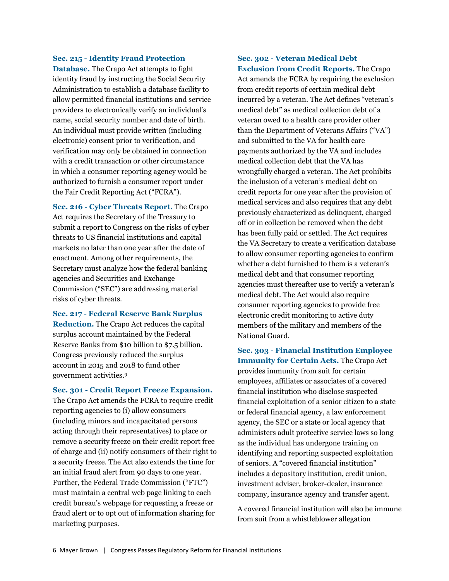#### **Sec. 215 - Identity Fraud Protection**

**Database.** The Crapo Act attempts to fight identity fraud by instructing the Social Security Administration to establish a database facility to allow permitted financial institutions and service providers to electronically verify an individual's name, social security number and date of birth. An individual must provide written (including electronic) consent prior to verification, and verification may only be obtained in connection with a credit transaction or other circumstance in which a consumer reporting agency would be authorized to furnish a consumer report under the Fair Credit Reporting Act ("FCRA").

**Sec. 216 - Cyber Threats Report.** The Crapo Act requires the Secretary of the Treasury to submit a report to Congress on the risks of cyber threats to US financial institutions and capital markets no later than one year after the date of enactment. Among other requirements, the Secretary must analyze how the federal banking agencies and Securities and Exchange Commission ("SEC") are addressing material risks of cyber threats.

**Sec. 217 - Federal Reserve Bank Surplus Reduction.** The Crapo Act reduces the capital surplus account maintained by the Federal Reserve Banks from \$10 billion to \$7.5 billion. Congress previously reduced the surplus account in 2015 and 2018 to fund other government activities.[9](#page-11-8)

### **Sec. 301 - Credit Report Freeze Expansion.**

The Crapo Act amends the FCRA to require credit reporting agencies to (i) allow consumers (including minors and incapacitated persons acting through their representatives) to place or remove a security freeze on their credit report free of charge and (ii) notify consumers of their right to a security freeze. The Act also extends the time for an initial fraud alert from 90 days to one year. Further, the Federal Trade Commission ("FTC") must maintain a central web page linking to each credit bureau's webpage for requesting a freeze or fraud alert or to opt out of information sharing for marketing purposes.

# **Sec. 302 - Veteran Medical Debt Exclusion from Credit Reports.** The Crapo

Act amends the FCRA by requiring the exclusion from credit reports of certain medical debt incurred by a veteran. The Act defines "veteran's medical debt" as medical collection debt of a veteran owed to a health care provider other than the Department of Veterans Affairs ("VA") and submitted to the VA for health care payments authorized by the VA and includes medical collection debt that the VA has wrongfully charged a veteran. The Act prohibits the inclusion of a veteran's medical debt on credit reports for one year after the provision of medical services and also requires that any debt previously characterized as delinquent, charged off or in collection be removed when the debt has been fully paid or settled. The Act requires the VA Secretary to create a verification database to allow consumer reporting agencies to confirm whether a debt furnished to them is a veteran's medical debt and that consumer reporting agencies must thereafter use to verify a veteran's medical debt. The Act would also require consumer reporting agencies to provide free electronic credit monitoring to active duty members of the military and members of the National Guard.

**Sec. 303 - Financial Institution Employee Immunity for Certain Acts.** The Crapo Act provides immunity from suit for certain employees, affiliates or associates of a covered financial institution who disclose suspected financial exploitation of a senior citizen to a state or federal financial agency, a law enforcement agency, the SEC or a state or local agency that administers adult protective service laws so long as the individual has undergone training on identifying and reporting suspected exploitation of seniors. A "covered financial institution" includes a depository institution, credit union, investment adviser, broker-dealer, insurance company, insurance agency and transfer agent.

A covered financial institution will also be immune from suit from a whistleblower allegation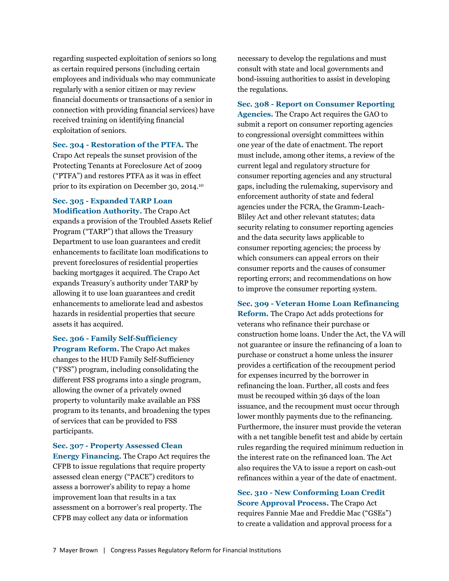regarding suspected exploitation of seniors so long as certain required persons (including certain employees and individuals who may communicate regularly with a senior citizen or may review financial documents or transactions of a senior in connection with providing financial services) have received training on identifying financial exploitation of seniors.

**Sec. 304 - Restoration of the PTFA.** The Crapo Act repeals the sunset provision of the Protecting Tenants at Foreclosure Act of 2009 ("PTFA") and restores PTFA as it was in effect prior to its expiration on December 30, 2014.[10](#page-11-9)

# **Sec. 305 - Expanded TARP Loan**

**Modification Authority.** The Crapo Act expands a provision of the Troubled Assets Relief Program ("TARP") that allows the Treasury Department to use loan guarantees and credit enhancements to facilitate loan modifications to prevent foreclosures of residential properties backing mortgages it acquired. The Crapo Act expands Treasury's authority under TARP by allowing it to use loan guarantees and credit enhancements to ameliorate lead and asbestos hazards in residential properties that secure assets it has acquired.

# **Sec. 306 - Family Self-Sufficiency**

**Program Reform.** The Crapo Act makes changes to the HUD Family Self-Sufficiency ("FSS") program, including consolidating the different FSS programs into a single program, allowing the owner of a privately owned property to voluntarily make available an FSS program to its tenants, and broadening the types of services that can be provided to FSS participants.

# **Sec. 307 - Property Assessed Clean**

**Energy Financing.** The Crapo Act requires the CFPB to issue regulations that require property assessed clean energy ("PACE") creditors to assess a borrower's ability to repay a home improvement loan that results in a tax assessment on a borrower's real property. The CFPB may collect any data or information

necessary to develop the regulations and must consult with state and local governments and bond-issuing authorities to assist in developing the regulations.

**Sec. 308 - Report on Consumer Reporting Agencies.** The Crapo Act requires the GAO to submit a report on consumer reporting agencies to congressional oversight committees within one year of the date of enactment. The report must include, among other items, a review of the current legal and regulatory structure for consumer reporting agencies and any structural gaps, including the rulemaking, supervisory and enforcement authority of state and federal agencies under the FCRA, the Gramm-Leach-Bliley Act and other relevant statutes; data security relating to consumer reporting agencies and the data security laws applicable to consumer reporting agencies; the process by which consumers can appeal errors on their consumer reports and the causes of consumer reporting errors; and recommendations on how to improve the consumer reporting system.

#### **Sec. 309 - Veteran Home Loan Refinancing**

**Reform.** The Crapo Act adds protections for veterans who refinance their purchase or construction home loans. Under the Act, the VA will not guarantee or insure the refinancing of a loan to purchase or construct a home unless the insurer provides a certification of the recoupment period for expenses incurred by the borrower in refinancing the loan. Further, all costs and fees must be recouped within 36 days of the loan issuance, and the recoupment must occur through lower monthly payments due to the refinancing. Furthermore, the insurer must provide the veteran with a net tangible benefit test and abide by certain rules regarding the required minimum reduction in the interest rate on the refinanced loan. The Act also requires the VA to issue a report on cash-out refinances within a year of the date of enactment.

**Sec. 310 - New Conforming Loan Credit Score Approval Process.** The Crapo Act requires Fannie Mae and Freddie Mac ("GSEs") to create a validation and approval process for a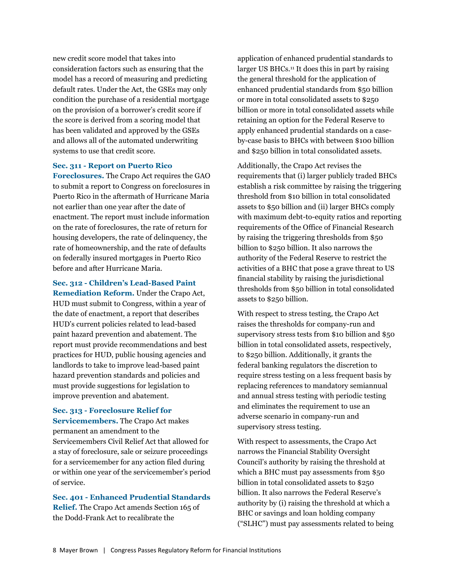new credit score model that takes into consideration factors such as ensuring that the model has a record of measuring and predicting default rates. Under the Act, the GSEs may only condition the purchase of a residential mortgage on the provision of a borrower's credit score if the score is derived from a scoring model that has been validated and approved by the GSEs and allows all of the automated underwriting systems to use that credit score.

#### **Sec. 311 - Report on Puerto Rico**

**Foreclosures.** The Crapo Act requires the GAO to submit a report to Congress on foreclosures in Puerto Rico in the aftermath of Hurricane Maria not earlier than one year after the date of enactment. The report must include information on the rate of foreclosures, the rate of return for housing developers, the rate of delinquency, the rate of homeownership, and the rate of defaults on federally insured mortgages in Puerto Rico before and after Hurricane Maria.

**Sec. 312 - Children's Lead-Based Paint Remediation Reform.** Under the Crapo Act, HUD must submit to Congress, within a year of the date of enactment, a report that describes HUD's current policies related to lead-based paint hazard prevention and abatement. The report must provide recommendations and best practices for HUD, public housing agencies and landlords to take to improve lead-based paint hazard prevention standards and policies and must provide suggestions for legislation to improve prevention and abatement.

## **Sec. 313 - Foreclosure Relief for**

**Servicemembers.** The Crapo Act makes permanent an amendment to the Servicemembers Civil Relief Act that allowed for a stay of foreclosure, sale or seizure proceedings for a servicemember for any action filed during or within one year of the servicemember's period of service.

**Sec. 401 - Enhanced Prudential Standards Relief.** The Crapo Act amends Section 165 of the Dodd-Frank Act to recalibrate the

application of enhanced prudential standards to larger US BHCs.<sup>[11](#page-11-10)</sup> It does this in part by raising the general threshold for the application of enhanced prudential standards from \$50 billion or more in total consolidated assets to \$250 billion or more in total consolidated assets while retaining an option for the Federal Reserve to apply enhanced prudential standards on a caseby-case basis to BHCs with between \$100 billion and \$250 billion in total consolidated assets.

Additionally, the Crapo Act revises the requirements that (i) larger publicly traded BHCs establish a risk committee by raising the triggering threshold from \$10 billion in total consolidated assets to \$50 billion and (ii) larger BHCs comply with maximum debt-to-equity ratios and reporting requirements of the Office of Financial Research by raising the triggering thresholds from \$50 billion to \$250 billion. It also narrows the authority of the Federal Reserve to restrict the activities of a BHC that pose a grave threat to US financial stability by raising the jurisdictional thresholds from \$50 billion in total consolidated assets to \$250 billion.

With respect to stress testing, the Crapo Act raises the thresholds for company-run and supervisory stress tests from \$10 billion and \$50 billion in total consolidated assets, respectively, to \$250 billion. Additionally, it grants the federal banking regulators the discretion to require stress testing on a less frequent basis by replacing references to mandatory semiannual and annual stress testing with periodic testing and eliminates the requirement to use an adverse scenario in company-run and supervisory stress testing.

With respect to assessments, the Crapo Act narrows the Financial Stability Oversight Council's authority by raising the threshold at which a BHC must pay assessments from \$50 billion in total consolidated assets to \$250 billion. It also narrows the Federal Reserve's authority by (i) raising the threshold at which a BHC or savings and loan holding company ("SLHC") must pay assessments related to being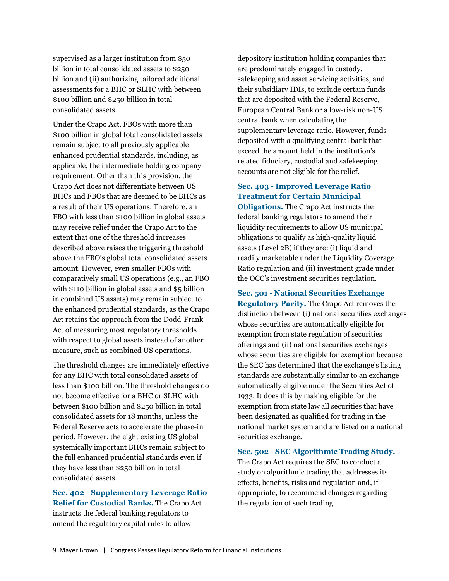supervised as a larger institution from \$50 billion in total consolidated assets to \$250 billion and (ii) authorizing tailored additional assessments for a BHC or SLHC with between \$100 billion and \$250 billion in total consolidated assets.

Under the Crapo Act, FBOs with more than \$100 billion in global total consolidated assets remain subject to all previously applicable enhanced prudential standards, including, as applicable, the intermediate holding company requirement. Other than this provision, the Crapo Act does not differentiate between US BHCs and FBOs that are deemed to be BHCs as a result of their US operations. Therefore, an FBO with less than \$100 billion in global assets may receive relief under the Crapo Act to the extent that one of the threshold increases described above raises the triggering threshold above the FBO's global total consolidated assets amount. However, even smaller FBOs with comparatively small US operations (e.g., an FBO with \$110 billion in global assets and \$5 billion in combined US assets) may remain subject to the enhanced prudential standards, as the Crapo Act retains the approach from the Dodd-Frank Act of measuring most regulatory thresholds with respect to global assets instead of another measure, such as combined US operations.

The threshold changes are immediately effective for any BHC with total consolidated assets of less than \$100 billion. The threshold changes do not become effective for a BHC or SLHC with between \$100 billion and \$250 billion in total consolidated assets for 18 months, unless the Federal Reserve acts to accelerate the phase-in period. However, the eight existing US global systemically important BHCs remain subject to the full enhanced prudential standards even if they have less than \$250 billion in total consolidated assets.

**Sec. 402 - Supplementary Leverage Ratio Relief for Custodial Banks.** The Crapo Act instructs the federal banking regulators to amend the regulatory capital rules to allow

depository institution holding companies that are predominately engaged in custody, safekeeping and asset servicing activities, and their subsidiary IDIs, to exclude certain funds that are deposited with the Federal Reserve, European Central Bank or a low-risk non-US central bank when calculating the supplementary leverage ratio. However, funds deposited with a qualifying central bank that exceed the amount held in the institution's related fiduciary, custodial and safekeeping accounts are not eligible for the relief.

# **Sec. 403 - Improved Leverage Ratio Treatment for Certain Municipal**

**Obligations.** The Crapo Act instructs the federal banking regulators to amend their liquidity requirements to allow US municipal obligations to qualify as high-quality liquid assets (Level 2B) if they are: (i) liquid and readily marketable under the Liquidity Coverage Ratio regulation and (ii) investment grade under the OCC's investment securities regulation.

**Sec. 501 - National Securities Exchange Regulatory Parity.** The Crapo Act removes the distinction between (i) national securities exchanges whose securities are automatically eligible for exemption from state regulation of securities offerings and (ii) national securities exchanges whose securities are eligible for exemption because the SEC has determined that the exchange's listing standards are substantially similar to an exchange automatically eligible under the Securities Act of 1933. It does this by making eligible for the exemption from state law all securities that have been designated as qualified for trading in the national market system and are listed on a national securities exchange.

#### **Sec. 502 - SEC Algorithmic Trading Study.**

The Crapo Act requires the SEC to conduct a study on algorithmic trading that addresses its effects, benefits, risks and regulation and, if appropriate, to recommend changes regarding the regulation of such trading.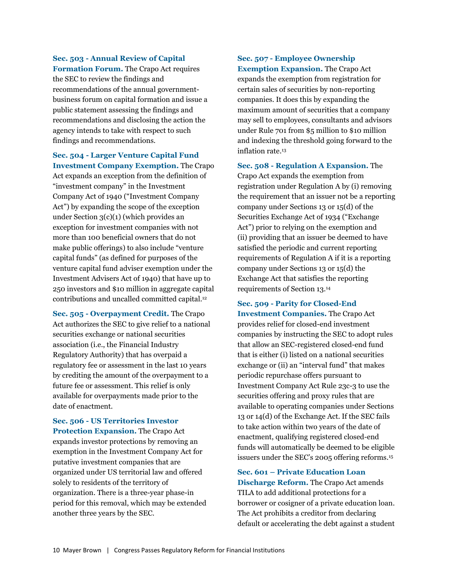## **Sec. 503 - Annual Review of Capital**

**Formation Forum.** The Crapo Act requires the SEC to review the findings and recommendations of the annual governmentbusiness forum on capital formation and issue a public statement assessing the findings and recommendations and disclosing the action the agency intends to take with respect to such findings and recommendations.

**Sec. 504 - Larger Venture Capital Fund Investment Company Exemption.** The Crapo Act expands an exception from the definition of "investment company" in the Investment Company Act of 1940 ("Investment Company Act") by expanding the scope of the exception under Section 3(c)(1) (which provides an exception for investment companies with not more than 100 beneficial owners that do not make public offerings) to also include "venture capital funds" (as defined for purposes of the venture capital fund adviser exemption under the Investment Advisers Act of 1940) that have up to 250 investors and \$10 million in aggregate capital contributions and uncalled committed capital.[12](#page-11-11)

**Sec. 505 - Overpayment Credit.** The Crapo Act authorizes the SEC to give relief to a national securities exchange or national securities association (i.e., the Financial Industry Regulatory Authority) that has overpaid a regulatory fee or assessment in the last 10 years by crediting the amount of the overpayment to a future fee or assessment. This relief is only available for overpayments made prior to the date of enactment.

**Sec. 506 - US Territories Investor Protection Expansion.** The Crapo Act expands investor protections by removing an exemption in the Investment Company Act for putative investment companies that are organized under US territorial law and offered solely to residents of the territory of organization. There is a three-year phase-in period for this removal, which may be extended another three years by the SEC.

# **Sec. 507 - Employee Ownership**

**Exemption Expansion.** The Crapo Act expands the exemption from registration for certain sales of securities by non-reporting companies. It does this by expanding the maximum amount of securities that a company may sell to employees, consultants and advisors under Rule 701 from \$5 million to \$10 million and indexing the threshold going forward to the inflation rate.[13](#page-11-12)

**Sec. 508 - Regulation A Expansion.** The Crapo Act expands the exemption from registration under Regulation A by (i) removing the requirement that an issuer not be a reporting company under Sections 13 or 15(d) of the Securities Exchange Act of 1934 ("Exchange Act") prior to relying on the exemption and (ii) providing that an issuer be deemed to have satisfied the periodic and current reporting requirements of Regulation A if it is a reporting company under Sections 13 or 15(d) the Exchange Act that satisfies the reporting requirements of Section 13.[14](#page-11-13)

## **Sec. 509 - Parity for Closed-End**

**Investment Companies.** The Crapo Act provides relief for closed-end investment companies by instructing the SEC to adopt rules that allow an SEC-registered closed-end fund that is either (i) listed on a national securities exchange or (ii) an "interval fund" that makes periodic repurchase offers pursuant to Investment Company Act Rule 23c-3 to use the securities offering and proxy rules that are available to operating companies under Sections 13 or 14(d) of the Exchange Act. If the SEC fails to take action within two years of the date of enactment, qualifying registered closed-end funds will automatically be deemed to be eligible issuers under the SEC's 2005 offering reforms.[15](#page-11-14)

## **Sec. 601 – Private Education Loan**

**Discharge Reform.** The Crapo Act amends TILA to add additional protections for a borrower or cosigner of a private education loan. The Act prohibits a creditor from declaring default or accelerating the debt against a student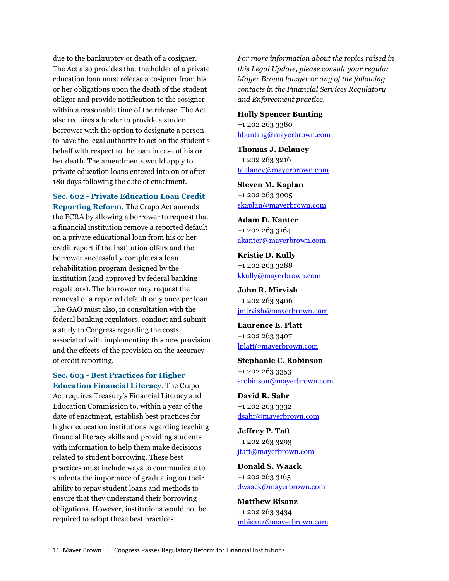due to the bankruptcy or death of a cosigner. The Act also provides that the holder of a private education loan must release a cosigner from his or her obligations upon the death of the student obligor and provide notification to the cosigner within a reasonable time of the release. The Act also requires a lender to provide a student borrower with the option to designate a person to have the legal authority to act on the student's behalf with respect to the loan in case of his or her death. The amendments would apply to private education loans entered into on or after 180 days following the date of enactment.

**Sec. 602 - Private Education Loan Credit Reporting Reform.** The Crapo Act amends the FCRA by allowing a borrower to request that a financial institution remove a reported default on a private educational loan from his or her credit report if the institution offers and the borrower successfully completes a loan rehabilitation program designed by the institution (and approved by federal banking regulators). The borrower may request the removal of a reported default only once per loan. The GAO must also, in consultation with the federal banking regulators, conduct and submit a study to Congress regarding the costs associated with implementing this new provision and the effects of the provision on the accuracy of credit reporting.

**Sec. 603 - Best Practices for Higher Education Financial Literacy.** The Crapo Act requires Treasury's Financial Literacy and Education Commission to, within a year of the date of enactment, establish best practices for higher education institutions regarding teaching financial literacy skills and providing students with information to help them make decisions related to student borrowing. These best practices must include ways to communicate to students the importance of graduating on their ability to repay student loans and methods to ensure that they understand their borrowing obligations. However, institutions would not be required to adopt these best practices.

*For more information about the topics raised in this Legal Update, please consult your regular Mayer Brown lawyer or any of the following contacts in the Financial Services Regulatory and Enforcement practice.*

**Holly Spencer Bunting** +1 202 263 3380 [hbunting@mayerbrown.com](mailto:hbunting@mayerbrown.com)

**Thomas J. Delaney** +1 202 263 3216 [tdelaney@mayerbrown.com](mailto:tdelaney@mayerbrown.com)

**Steven M. Kaplan** +1 202 263 3005 [skaplan@mayerbrown.com](mailto:skaplan@mayerbrown.com)

**Adam D. Kanter** +1 202 263 3164 [akanter@mayerbrown.com](mailto:akanter@mayerbrown.com)

**Kristie D. Kully** +1 202 263 3288 [kkully@mayerbrown.com](mailto:kkully@mayerbrown.com)

**John R. Mirvish** +1 202 263 3406 [jmirvish@mayerbrown.com](mailto:jmirvish@mayerbrown.com)

**Laurence E. Platt** +1 202 263 3407 [lplatt@mayerbrown.com](mailto:lplatt@mayerbrown.com)

**Stephanie C. Robinson** +1 202 263 3353 [srobinson@mayerbrown.com](mailto:srobinson@mayerbrown.com)

**David R. Sahr** +1 202 263 3332 [dsahr@mayerbrown.com](mailto:dsahr@mayerbrown.com)

**Jeffrey P. Taft** +1 202 263 3293 [jtaft@mayerbrown.com](mailto:jtaft@mayerbrown.com)

**Donald S. Waack** +1 202 263 3165 [dwaack@mayerbrown.com](mailto:dwaack@mayerbrown.com)

**Matthew Bisanz** +1 202 263 3434 [mbisanz@mayerbrown.com](mailto:mbisanz@mayerbrown.com)